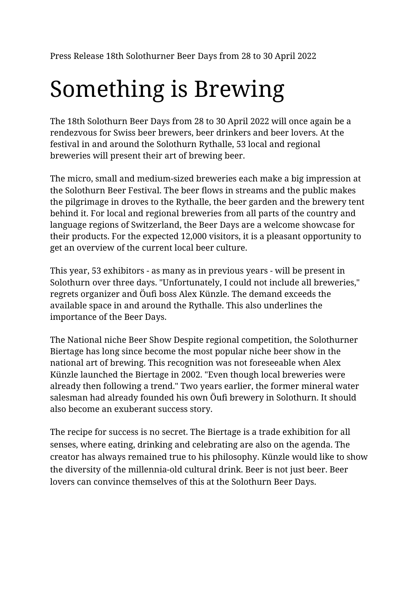Press Release 18th Solothurner Beer Days from 28 to 30 April 2022

## Something is Brewing

The 18th Solothurn Beer Days from 28 to 30 April 2022 will once again be a rendezvous for Swiss beer brewers, beer drinkers and beer lovers. At the festival in and around the Solothurn Rythalle, 53 local and regional breweries will present their art of brewing beer.

The micro, small and medium-sized breweries each make a big impression at the Solothurn Beer Festival. The beer flows in streams and the public makes the pilgrimage in droves to the Rythalle, the beer garden and the brewery tent behind it. For local and regional breweries from all parts of the country and language regions of Switzerland, the Beer Days are a welcome showcase for their products. For the expected 12,000 visitors, it is a pleasant opportunity to get an overview of the current local beer culture.

This year, 53 exhibitors - as many as in previous years - will be present in Solothurn over three days. "Unfortunately, I could not include all breweries," regrets organizer and Öufi boss Alex Künzle. The demand exceeds the available space in and around the Rythalle. This also underlines the importance of the Beer Days.

The National niche Beer Show Despite regional competition, the Solothurner Biertage has long since become the most popular niche beer show in the national art of brewing. This recognition was not foreseeable when Alex Künzle launched the Biertage in 2002. "Even though local breweries were already then following a trend." Two years earlier, the former mineral water salesman had already founded his own Öufi brewery in Solothurn. It should also become an exuberant success story.

The recipe for success is no secret. The Biertage is a trade exhibition for all senses, where eating, drinking and celebrating are also on the agenda. The creator has always remained true to his philosophy. Künzle would like to show the diversity of the millennia-old cultural drink. Beer is not just beer. Beer lovers can convince themselves of this at the Solothurn Beer Days.